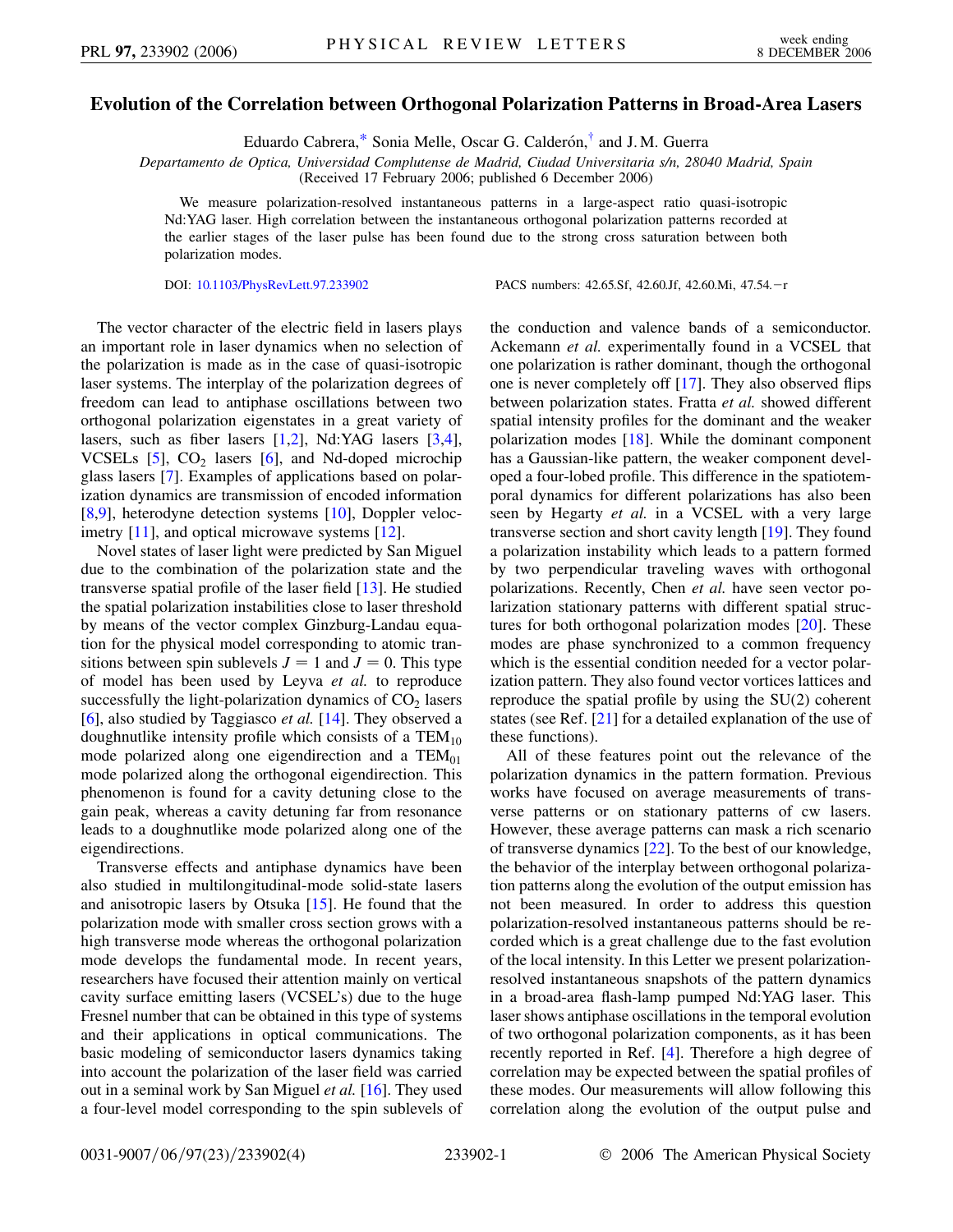## <span id="page-0-0"></span>**Evolution of the Correlation between Orthogonal Polarization Patterns in Broad-Area Lasers**

Eduardo Cabrera,[\\*](#page-3-0) Sonia Melle, Oscar G. Calderón,<sup>[†](#page-3-1)</sup> and J.M. Guerra

*Departamento de Optica, Universidad Complutense de Madrid, Ciudad Universitaria s/n, 28040 Madrid, Spain*

(Received 17 February 2006; published 6 December 2006)

We measure polarization-resolved instantaneous patterns in a large-aspect ratio quasi-isotropic Nd:YAG laser. High correlation between the instantaneous orthogonal polarization patterns recorded at the earlier stages of the laser pulse has been found due to the strong cross saturation between both polarization modes.

DOI: [10.1103/PhysRevLett.97.233902](http://dx.doi.org/10.1103/PhysRevLett.97.233902) PACS numbers: 42.65.Sf, 42.60.Jf, 42.60.Mi, 47.54.-r

The vector character of the electric field in lasers plays an important role in laser dynamics when no selection of the polarization is made as in the case of quasi-isotropic laser systems. The interplay of the polarization degrees of freedom can lead to antiphase oscillations between two orthogonal polarization eigenstates in a great variety of lasers, such as fiber lasers [[1](#page-3-2),[2](#page-3-3)], Nd:YAG lasers [[3](#page-3-4),[4\]](#page-3-5), VCSELs  $[5]$  $[5]$ , CO<sub>2</sub> lasers  $[6]$  $[6]$ , and Nd-doped microchip glass lasers [[7\]](#page-3-8). Examples of applications based on polarization dynamics are transmission of encoded information [\[8,](#page-3-9)[9](#page-3-10)], heterodyne detection systems [\[10\]](#page-3-11), Doppler veloc-imetry [[11](#page-3-12)], and optical microwave systems [\[12\]](#page-3-13).

Novel states of laser light were predicted by San Miguel due to the combination of the polarization state and the transverse spatial profile of the laser field [\[13\]](#page-3-14). He studied the spatial polarization instabilities close to laser threshold by means of the vector complex Ginzburg-Landau equation for the physical model corresponding to atomic transitions between spin sublevels  $J = 1$  and  $J = 0$ . This type of model has been used by Leyva *et al.* to reproduce successfully the light-polarization dynamics of  $CO<sub>2</sub>$  lasers [\[6\]](#page-3-7), also studied by Taggiasco *et al.* [\[14\]](#page-3-15). They observed a doughnutlike intensity profile which consists of a  $TEM_{10}$ mode polarized along one eigendirection and a  $TEM_{01}$ mode polarized along the orthogonal eigendirection. This phenomenon is found for a cavity detuning close to the gain peak, whereas a cavity detuning far from resonance leads to a doughnutlike mode polarized along one of the eigendirections.

Transverse effects and antiphase dynamics have been also studied in multilongitudinal-mode solid-state lasers and anisotropic lasers by Otsuka [\[15\]](#page-3-16). He found that the polarization mode with smaller cross section grows with a high transverse mode whereas the orthogonal polarization mode develops the fundamental mode. In recent years, researchers have focused their attention mainly on vertical cavity surface emitting lasers (VCSEL's) due to the huge Fresnel number that can be obtained in this type of systems and their applications in optical communications. The basic modeling of semiconductor lasers dynamics taking into account the polarization of the laser field was carried out in a seminal work by San Miguel *et al.* [\[16](#page-3-17)]. They used a four-level model corresponding to the spin sublevels of the conduction and valence bands of a semiconductor. Ackemann *et al.* experimentally found in a VCSEL that one polarization is rather dominant, though the orthogonal one is never completely off [\[17\]](#page-3-18). They also observed flips between polarization states. Fratta *et al.* showed different spatial intensity profiles for the dominant and the weaker polarization modes [[18](#page-3-19)]. While the dominant component has a Gaussian-like pattern, the weaker component developed a four-lobed profile. This difference in the spatiotemporal dynamics for different polarizations has also been seen by Hegarty *et al.* in a VCSEL with a very large transverse section and short cavity length [[19](#page-3-20)]. They found a polarization instability which leads to a pattern formed by two perpendicular traveling waves with orthogonal polarizations. Recently, Chen *et al.* have seen vector polarization stationary patterns with different spatial structures for both orthogonal polarization modes [[20](#page-3-21)]. These modes are phase synchronized to a common frequency which is the essential condition needed for a vector polarization pattern. They also found vector vortices lattices and reproduce the spatial profile by using the SU(2) coherent states (see Ref. [[21](#page-3-22)] for a detailed explanation of the use of these functions).

All of these features point out the relevance of the polarization dynamics in the pattern formation. Previous works have focused on average measurements of transverse patterns or on stationary patterns of cw lasers. However, these average patterns can mask a rich scenario of transverse dynamics [\[22\]](#page-3-23). To the best of our knowledge, the behavior of the interplay between orthogonal polarization patterns along the evolution of the output emission has not been measured. In order to address this question polarization-resolved instantaneous patterns should be recorded which is a great challenge due to the fast evolution of the local intensity. In this Letter we present polarizationresolved instantaneous snapshots of the pattern dynamics in a broad-area flash-lamp pumped Nd:YAG laser. This laser shows antiphase oscillations in the temporal evolution of two orthogonal polarization components, as it has been recently reported in Ref. [\[4\]](#page-3-5). Therefore a high degree of correlation may be expected between the spatial profiles of these modes. Our measurements will allow following this correlation along the evolution of the output pulse and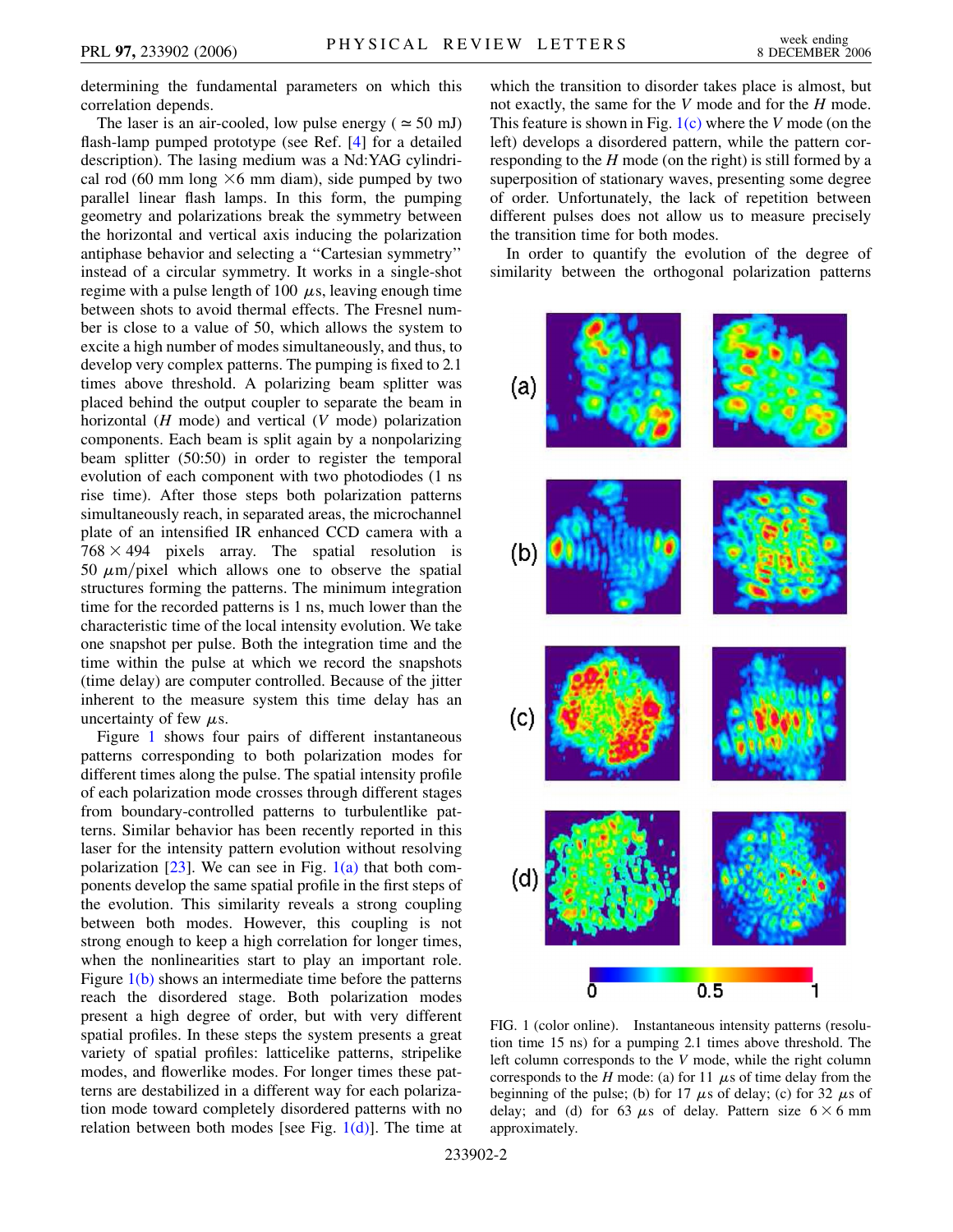determining the fundamental parameters on which this correlation depends.

The laser is an air-cooled, low pulse energy ( $\simeq$  50 mJ) flash-lamp pumped prototype (see Ref. [[4](#page-3-5)] for a detailed description). The lasing medium was a Nd:YAG cylindrical rod (60 mm long  $\times$ 6 mm diam), side pumped by two parallel linear flash lamps. In this form, the pumping geometry and polarizations break the symmetry between the horizontal and vertical axis inducing the polarization antiphase behavior and selecting a ''Cartesian symmetry'' instead of a circular symmetry. It works in a single-shot regime with a pulse length of 100  $\mu$ s, leaving enough time between shots to avoid thermal effects. The Fresnel number is close to a value of 50, which allows the system to excite a high number of modes simultaneously, and thus, to develop very complex patterns. The pumping is fixed to 2.1 times above threshold. A polarizing beam splitter was placed behind the output coupler to separate the beam in horizontal (*H* mode) and vertical (*V* mode) polarization components. Each beam is split again by a nonpolarizing beam splitter (50:50) in order to register the temporal evolution of each component with two photodiodes (1 ns rise time). After those steps both polarization patterns simultaneously reach, in separated areas, the microchannel plate of an intensified IR enhanced CCD camera with a  $768 \times 494$  pixels array. The spatial resolution is 50  $\mu$ m/pixel which allows one to observe the spatial structures forming the patterns. The minimum integration time for the recorded patterns is 1 ns, much lower than the characteristic time of the local intensity evolution. We take one snapshot per pulse. Both the integration time and the time within the pulse at which we record the snapshots (time delay) are computer controlled. Because of the jitter inherent to the measure system this time delay has an uncertainty of few  $\mu$ s.

Figure [1](#page-1-0) shows four pairs of different instantaneous patterns corresponding to both polarization modes for different times along the pulse. The spatial intensity profile of each polarization mode crosses through different stages from boundary-controlled patterns to turbulentlike patterns. Similar behavior has been recently reported in this laser for the intensity pattern evolution without resolving polarization  $[23]$ . We can see in Fig.  $1(a)$  that both components develop the same spatial profile in the first steps of the evolution. This similarity reveals a strong coupling between both modes. However, this coupling is not strong enough to keep a high correlation for longer times, when the nonlinearities start to play an important role. Figure  $1(b)$  shows an intermediate time before the patterns reach the disordered stage. Both polarization modes present a high degree of order, but with very different spatial profiles. In these steps the system presents a great variety of spatial profiles: latticelike patterns, stripelike modes, and flowerlike modes. For longer times these patterns are destabilized in a different way for each polarization mode toward completely disordered patterns with no relation between both modes [see Fig.  $1(d)$ ]. The time at

which the transition to disorder takes place is almost, but not exactly, the same for the *V* mode and for the *H* mode. This feature is shown in Fig. [1\(c\)](#page-1-1) where the *V* mode (on the left) develops a disordered pattern, while the pattern corresponding to the *H* mode (on the right) is still formed by a superposition of stationary waves, presenting some degree of order. Unfortunately, the lack of repetition between different pulses does not allow us to measure precisely the transition time for both modes.

In order to quantify the evolution of the degree of similarity between the orthogonal polarization patterns

<span id="page-1-2"></span><span id="page-1-0"></span>

<span id="page-1-1"></span>FIG. 1 (color online). Instantaneous intensity patterns (resolution time 15 ns) for a pumping 2.1 times above threshold. The left column corresponds to the *V* mode, while the right column corresponds to the *H* mode: (a) for 11  $\mu$ s of time delay from the beginning of the pulse; (b) for 17  $\mu$ s of delay; (c) for 32  $\mu$ s of delay; and (d) for 63  $\mu$ s of delay. Pattern size 6  $\times$  6 mm approximately.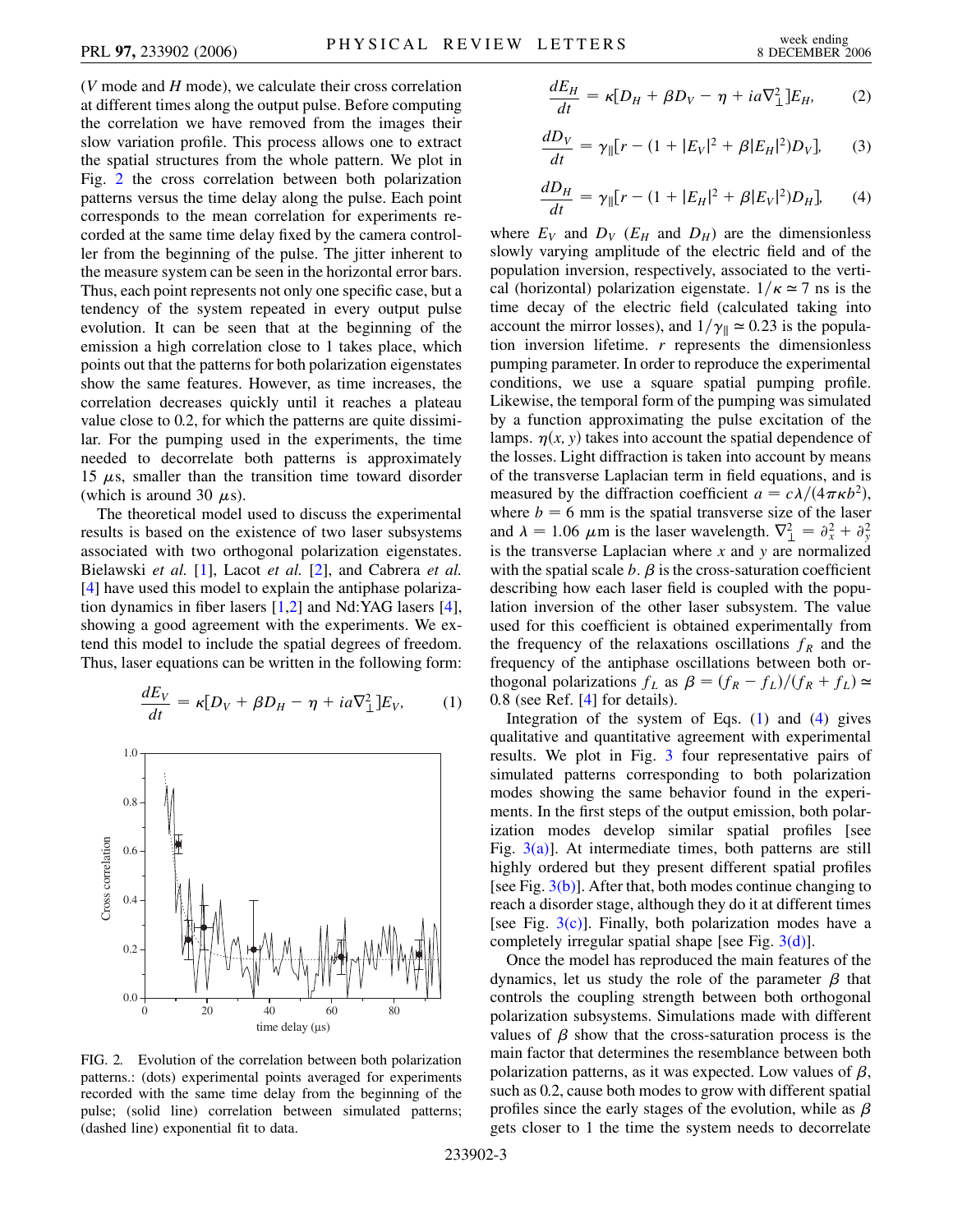(*V* mode and *H* mode), we calculate their cross correlation at different times along the output pulse. Before computing the correlation we have removed from the images their slow variation profile. This process allows one to extract the spatial structures from the whole pattern. We plot in Fig. [2](#page-2-0) the cross correlation between both polarization patterns versus the time delay along the pulse. Each point corresponds to the mean correlation for experiments recorded at the same time delay fixed by the camera controller from the beginning of the pulse. The jitter inherent to the measure system can be seen in the horizontal error bars. Thus, each point represents not only one specific case, but a tendency of the system repeated in every output pulse evolution. It can be seen that at the beginning of the emission a high correlation close to 1 takes place, which points out that the patterns for both polarization eigenstates show the same features. However, as time increases, the correlation decreases quickly until it reaches a plateau value close to 0.2, for which the patterns are quite dissimilar. For the pumping used in the experiments, the time needed to decorrelate both patterns is approximately 15  $\mu$ s, smaller than the transition time toward disorder (which is around 30  $\mu$ s).

The theoretical model used to discuss the experimental results is based on the existence of two laser subsystems associated with two orthogonal polarization eigenstates. Bielawski *et al.* [\[1](#page-3-2)], Lacot *et al.* [\[2](#page-3-3)], and Cabrera *et al.* [\[4\]](#page-3-5) have used this model to explain the antiphase polarization dynamics in fiber lasers [\[1](#page-3-2),[2](#page-3-3)] and Nd:YAG lasers [[4\]](#page-3-5), showing a good agreement with the experiments. We extend this model to include the spatial degrees of freedom. Thus, laser equations can be written in the following form:

$$
\frac{dE_V}{dt} = \kappa [D_V + \beta D_H - \eta + i a \nabla^2_{\perp}] E_V, \qquad (1)
$$

<span id="page-2-0"></span>

FIG. 2. Evolution of the correlation between both polarization patterns.: (dots) experimental points averaged for experiments recorded with the same time delay from the beginning of the pulse; (solid line) correlation between simulated patterns; (dashed line) exponential fit to data.

$$
\frac{dE_H}{dt} = \kappa [D_H + \beta D_V - \eta + i a \nabla_\perp^2] E_H, \qquad (2)
$$

$$
\frac{dD_V}{dt} = \gamma_{\parallel}[r - (1 + |E_V|^2 + \beta |E_H|^2)D_V],\tag{3}
$$

$$
\frac{dD_H}{dt} = \gamma_{\parallel}[r - (1 + |E_H|^2 + \beta |E_V|^2)D_H], \qquad (4)
$$

<span id="page-2-1"></span>where  $E_V$  and  $D_V$  ( $E_H$  and  $D_H$ ) are the dimensionless slowly varying amplitude of the electric field and of the population inversion, respectively, associated to the vertical (horizontal) polarization eigenstate.  $1/\kappa \simeq 7$  ns is the time decay of the electric field (calculated taking into account the mirror losses), and  $1/\gamma_{\parallel} \simeq 0.23$  is the population inversion lifetime. *r* represents the dimensionless pumping parameter. In order to reproduce the experimental conditions, we use a square spatial pumping profile. Likewise, the temporal form of the pumping was simulated by a function approximating the pulse excitation of the lamps.  $\eta(x, y)$  takes into account the spatial dependence of the losses. Light diffraction is taken into account by means of the transverse Laplacian term in field equations, and is measured by the diffraction coefficient  $a = c\lambda/(4\pi\kappa b^2)$ , where  $b = 6$  mm is the spatial transverse size of the laser and  $\lambda = 1.06 \mu \text{m}$  is the laser wavelength.  $\nabla^2_{\perp} = \partial^2_{x} + \partial^2_{y}$ is the transverse Laplacian where *x* and *y* are normalized with the spatial scale  $b$ .  $\beta$  is the cross-saturation coefficient describing how each laser field is coupled with the population inversion of the other laser subsystem. The value used for this coefficient is obtained experimentally from the frequency of the relaxations oscillations  $f_R$  and the frequency of the antiphase oscillations between both orthogonal polarizations  $f_L$  as  $\beta = (f_R - f_L)/(f_R + f_L) \approx$ 0*:*8 (see Ref. [\[4](#page-3-5)] for details).

Integration of the system of Eqs.  $(1)$  $(1)$  and  $(4)$  $(4)$  gives qualitative and quantitative agreement with experimental results. We plot in Fig. [3](#page-3-25) four representative pairs of simulated patterns corresponding to both polarization modes showing the same behavior found in the experiments. In the first steps of the output emission, both polarization modes develop similar spatial profiles [see Fig.  $3(a)$ ]. At intermediate times, both patterns are still highly ordered but they present different spatial profiles [see Fig.  $3(b)$ ]. After that, both modes continue changing to reach a disorder stage, although they do it at different times [see Fig.  $3(c)$ ]. Finally, both polarization modes have a completely irregular spatial shape [see Fig. [3\(d\)](#page-3-26)].

Once the model has reproduced the main features of the dynamics, let us study the role of the parameter  $\beta$  that controls the coupling strength between both orthogonal polarization subsystems. Simulations made with different values of  $\beta$  show that the cross-saturation process is the main factor that determines the resemblance between both polarization patterns, as it was expected. Low values of  $\beta$ , such as 0.2, cause both modes to grow with different spatial profiles since the early stages of the evolution, while as  $\beta$ gets closer to 1 the time the system needs to decorrelate